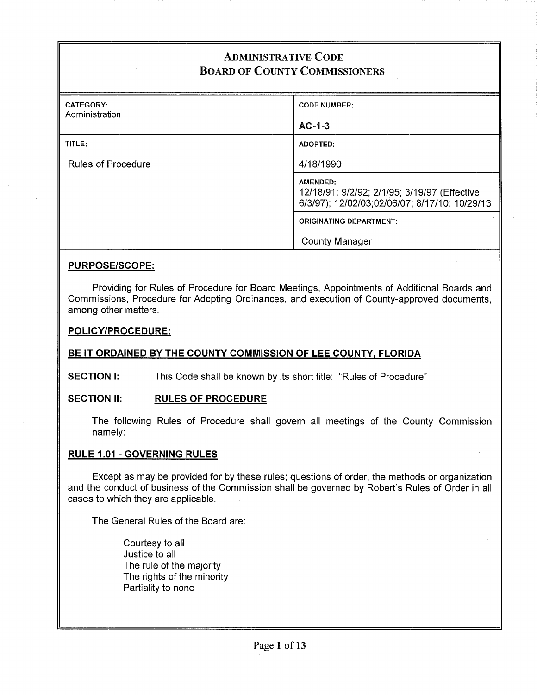# ADMINISTRATIVE CODE BOARD OF COUNTY COMMISSIONERS

| CATEGORY:<br>Administration | <b>CODE NUMBER:</b>                                                                                       |
|-----------------------------|-----------------------------------------------------------------------------------------------------------|
|                             | $AC-1-3$                                                                                                  |
| TITLE:                      | ADOPTED:                                                                                                  |
| <b>Rules of Procedure</b>   | 4/18/1990                                                                                                 |
|                             | AMENDED:<br>12/18/91; 9/2/92; 2/1/95; 3/19/97 (Effective<br>6/3/97); 12/02/03;02/06/07; 8/17/10; 10/29/13 |
|                             | <b>ORIGINATING DEPARTMENT:</b>                                                                            |
|                             | <b>County Manager</b>                                                                                     |

#### **PURPOSE/SCOPE:**

Providing for Rules of Procedure for Board Meetings, Appointments of Additional Boards and Commissions, Procedure for Adopting Ordinances, and execution of County-approved documents, among other matters.

#### **POLICY/PROCEDURE:**

### **BE IT ORDAINED BY THE COUNTY COMMISSION** OF LEE **COUNTY, FLORIDA**

**SECTION I:** This Code shall be known by its short title: "Rules of Procedure"

### SECTION II: RULES OF PROCEDURE

The following Rules of Procedure shall govern all meetings of the County Commission namely:

#### **RULE 1.01 -GOVERNING RULES**

Except as may be provided for by these rules; questions of order, the methods or organization and the conduct of business of the Commission shall be governed by Robert's Rules of Order in all cases to which they are applicable.

The General Rules of the Board are:

Courtesy to all Justice to all The rule of the majority The rights of the minority Partiality to none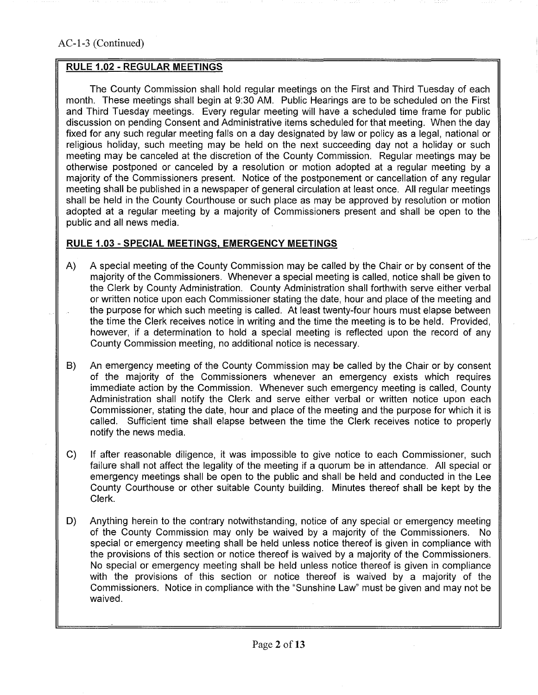### RULE 1.02 - REGULAR MEETINGS

The County Commission shall hold regular meetings on the First and Third Tuesday of each month. These meetings shall begin at 9:30 AM. Public Hearings are to be scheduled on the First and Third Tuesday meetings. Every regular meeting will have a scheduled time frame for public discussion on pending Consent and Administrative items scheduled for that meeting. When the day fixed for any such regular meeting falls on a day designated by law or policy as a legal, national or religious holiday, such meeting may be held on the next succeeding day not a holiday or such meeting may be canceled at the discretion of the County Commission. Regular meetings may be otherwise postponed or canceled by a resolution or motion adopted at a regular meeting by a majority of the Commissioners present. Notice of the postponement or cancellation of any regular meeting shall be published in a newspaper of general circulation at least once. All regular meetings shall be held in the County Courthouse or such place as may be approved by resolution or motion adopted at a regular meeting by a majority of Commissioners present and shall be open to the public and all news media.

### RULE 1.03 -SPECIAL MEETINGS, EMERGENCY MEETINGS

- A) A special meeting of the County Commission may be called by the Chair or by consent of the majority of the Commissioners. Whenever a special meeting is called, notice shall be given to the Clerk by County Administration. County Administration shall forthwith serve either verbal or written notice upon each Commissioner stating the date, hour and place of the meeting and the purpose for which such meeting is called. At least twenty-four hours must elapse between the time the Clerk receives notice in writing and the time the meeting is to be held. Provided, however, if a determination to hold a special meeting is reflected upon the record of any County Commission meeting, no additional notice is necessary.
- B) An emergency meeting of the County Commission may be called by the Chair or by consent of the majority of the Commissioners whenever an emergency exists which requires immediate action by the Commission. Whenever such emergency meeting is called, County Administration shall notify the Clerk and serve either verbal or written notice upon each Commissioner, stating the date, hour and place of the meeting and the purpose for which it is called. Sufficient time shall elapse between the time the Clerk receives notice to properly notify the news media.
- C) If after reasonable diligence, it was impossible to give notice to each Commissioner, such failure shall not affect the legality of the meeting if a quorum be in attendance. All special or emergency meetings shall be open to the public and shall be held and conducted in the Lee County Courthouse or other suitable County building. Minutes thereof shall be kept by the Clerk.
- D) Anything herein to the contrary notwithstanding, notice of any special or emergency meeting of the County Commission may only be waived by a majority of the Commissioners. No special or emergency meeting shall be held unless notice thereof is given in compliance with the provisions of this section or notice thereof is waived by a majority of the Commissioners. No special or emergency meeting shall be held unless notice thereof is given in compliance with the provisions of this section or notice thereof is waived by a majority of the Commissioners. Notice in compliance with the "Sunshine Law" must be given and may not be waived.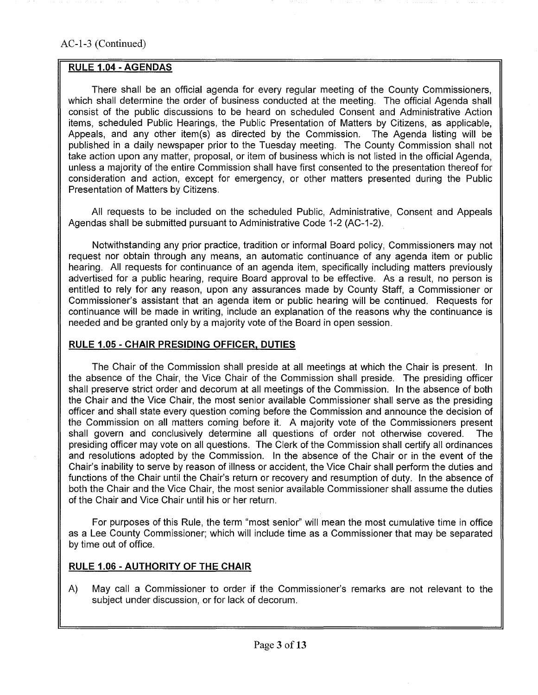### RULE 1.04 **-AGENDAS**

There shall be an official agenda for every regular meeting of the County Commissioners, which shall determine the order of business conducted at the meeting. The official Agenda shall consist of the public discussions to be heard on scheduled Consent and Administrative Action items, scheduled Public Hearings, the Public Presentation of Matters by Citizens, as applicable, Appeals, and any other item(s) as directed by the Commission. The Agenda listing will be published in a daily newspaper prior to the Tuesday meeting. The County Commission shall not take action upon any matter, proposal, or item of business which is not listed in the official Agenda, unless a majority of the entire Commission shall have first consented to the presentation thereof for consideration and action, except for emergency, or other matters presented during the Public Presentation of Matters by Citizens.

All requests to be included on the scheduled Public, Administrative, Consent and Appeals Agendas shall be submitted pursuant to Administrative Code 1-2 (AC-1-2).

Notwithstanding any prior practice, tradition or informal Board policy; Commissioners may not request nor obtain through any means, an automatic continuance of any agenda item or public hearing. All requests for continuance of an agenda item, specifically including matters previously advertised for a public hearing, require Board approval to be effective. As a result, no person is entitled to rely for any reason, upon any assurances made by County Staff, a Commissioner or Commissioner's assistant that an agenda item or public hearing will be continued. Requests for continuance will be made in writing, include an explanation of the reasons why the continuance is needed and be granted only by a majority vote of the Board in open session.

### **RULE 1.05 -CHAIR PRESIDING OFFICER, DUTIES**

The Chair of the Commission shall preside at all meetings at which the Chair is present. lh the absence of the Chair, the Vice Chair of the Commission shall preside. The presiding officer shall preserve strict order and decorum at all meetings of the Commission. In the absence of both the Chair and the Vice Chair, the most senior available Commissioner shall serve as the presiding officer and shall state every question coming before the Commission and announce the decision of the Commission on all matters coming before it. A majority vote of the Commissioners present shall govern and conclusively determine all questions of order not otherwise covered. The presiding officer may vote on all questions. The Clerk of the Commission shall certify all ordinances and resolutions adopted by the Commission. In the absence of the Chair or in the event of the Chair's inability to serve by reason of illness or accident, the Vice Chair shall perform the duties and functions of the Chair until the Chair's return or recovery and resumption of duty. In the absence of both the Chair and the Vice Chair, the most senior available Commissioner shall assume the duties of the Chair and Vice Chair until his or her return.

For purposes of this Rule, the term "most senior" will mean the most cumulative time in office as a Lee County Commissioner; which will include time as a Commissioner that may be separated by time out of office.

### **RULE 1.06 -AUTHORITY OF THE CHAIR**

A) May call a Commissioner to order if the Commissioner's remarks are not relevant to the subject under discussion, or for lack of decorum.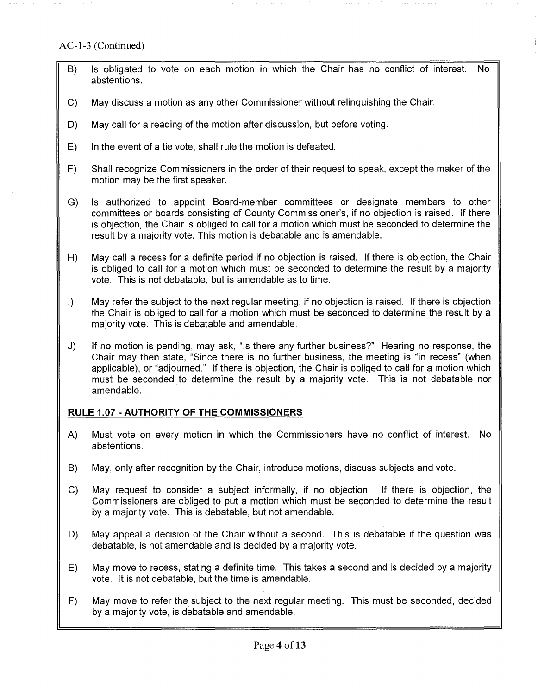## AC-1-3 (Continued)

- B) Is obligated to vote on each motion in which the Chair has no conflict of interest. No abstentions.
- C) May discuss a motion as any other Commissioner without relinquishing the Chair.
- D) May call for a reading of the motion after discussion, but before voting.
- E) In the event of a tie vote, shall rule the motion is defeated.
- F) Shall recognize Commissioners in the order of their request to speak, except the maker of the motion may be the first speaker.
- G) Is authorized to appoint Board-member committees or designate members to other committees or boards consisting of County Commissioner's, if no objection is raised. If there is objection, the Chair is obliged to call for a motion which must be seconded to determine the result by a majority vote. This motion is debatable and is amendable.
- H) May call a recess for a definite period if no objection is raised. If there is objection, the Chair is obliged to call for a motion which must be seconded to determine the result by a majority vote. This is not debatable, but is amendable as to time.
- I) May refer the subject to the next regular meeting, if no objection is raised. If there is objection the Chair is obliged to call for a motion which must be seconded to determine the result by a majority vote. This is debatable and amendable.
- J) If no motion is pending, may ask, "Is there any further business?" Hearing no response, the Chair may then state, "Since there is no further business, the meeting is "in recess" (when applicable), or "adjourned." If there is objection, the Chair is obliged to call for a motion which must be seconded to determine the result by a majority vote. This is not debatable nor amendable.

## **RULE 1.07 -AUTHORITY OF THE COMMISSIONERS**

- A) Must vote on every motion in which the Commissioners have no conflict of interest. No abstentions.
- B) May, only after recognition by the Chair, introduce motions, discuss subjects and vote.
- C) May request to consider a subject informally, if no objection. If there is objection, the Commissioners are obliged to put a motion which must be seconded to determine the result by a majority vote. This is debatable, but not amendable.
- D) May appeal a decision of the Chair without a second. This is debatable if the question was debatable, is not amendable and is decided by a majority vote.
- E) May move to recess, stating a definite time. This takes a second and is decided by a majority vote. It is not debatable, but the time is amendable.
- F) May move to refer the subject to the next regular meeting. This must be seconded, decided by a majority vote, is debatable and amendable.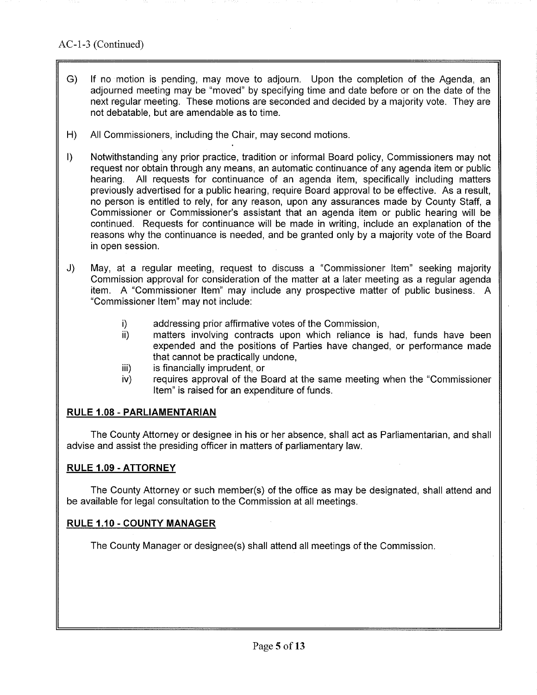- G) If no motion is pending, may move to adjourn. Upon the completion of the Agenda, an adjourned meeting may be "moved" by specifying time and date before or on the date of the next regular meeting. These motions are seconded and decided by a majority vote. They are not debatable, but are amendable as to time.
- H) All Commissioners, including the Chair, may second motions.
- I) Notwithstanding any prior practice, tradition or informal Board policy, Commissioners may not request nor obtain through any means, an automatic continuance of any agenda item or public hearing. All requests for continuance of an agenda item, specifically including matters previously advertised for a public hearing, require Board approval to be effective. As a result, no person is entitled to rely, for any reason, upon any assurances made by County Staff, a Commissioner or Commissioner's assistant that an agenda item or public hearing will be continued. Requests for continuance will be made in writing, include an explanation of the reasons why the continuance is needed, and be granted only by a majority vote of the Board in open session.
- J) May, at a regular meeting, request to discuss a "Commissioner Item" seeking majority Commission approval for consideration of the matter at a later meeting as a regular agenda item. A "Commissioner Item" may include any prospective matter of public business. A "Commissioner Item" may not include:
	- i) addressing prior affirmative votes of the Commission,
	- ii) matters involving contracts upon which reliance is had, funds have been expended and the positions of Parties have changed, or performance made that cannot be practically undone,
	- iii) is financially imprudent, or
	- iv) requires approval of the Board at the same meeting when the "Commissioner Item" is raised for an expenditure of funds.

## **RULE 1.08- PARLIAMENTARIAN**

The County Attorney or designee in his or her absence, shall act as Parliamentarian, and shall advise and assist the presiding officer in matters of parliamentary law.

### **RULE 1.09- ATTORNEY**

The County Attorney or such member(s) of the office as may be designated, shall attend and be available for legal consultation to the Commission at all meetings.

### **RULE 1.10- COUNTY MANAGER**

The County Manager or designee(s) shall attend all meetings of the Commission.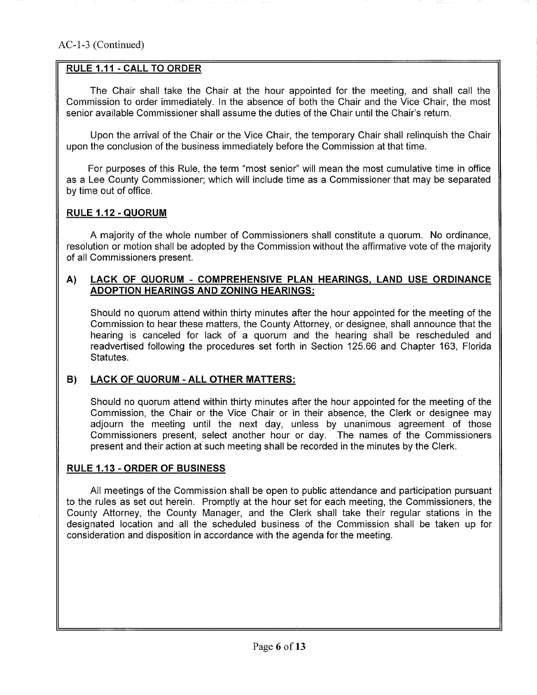### RULE 1.11 -CALL TO ORDER

The Chair shall take the Chair at the hour appointed for the meeting, and shall call the Commission to order immediately. In the absence of both the Chair and the Vice Chair, the most senior available Commissioner shall assume the duties of the Chair until the Chair's return.

Upon the arrival of the Chair or the Vice Chair, the temporary Chair shall relinquish the Chair upon the conclusion of the business immediately before the Commission at that time.

For purposes of this Rule, the term "most senior" will mean the most cumulative time in office as a Lee County Commissioner; which will include time as a Commissioner that may be separated by time out of office.

### **RULE 1.12- QUORUM**

A majority of the whole number of Commissioners shall constitute a quorum. No ordinance, resolution or motion shall be adopted by the Commission without the affirmative vote of the majority of all Commissioners present.

#### **A} LACK OF QUORUM - COMPREHENSIVE PLAN HEARINGS, LAND USE ORDINANCE ADOPTION HEARINGS AND ZONING HEARINGS:**

Should no quorum attend within thirty minutes after the hour appointed for the meeting of the Commission to hear these matters, the County Attorney, or designee, shall announce that the hearing is canceled for lack of a quorum and the hearing shall be rescheduled and readvertised following the procedures set forth in Section 125.66 and Chapter 163, Florida Statutes.

### **B) LACK OF QUORUM- All OTHER MATTERS:**

Should no quorum attend within thirty minutes after the hour appointed for the meeting of the Commission, the Chair or the Vice Chair or in their absence, the Clerk or designee may adjourn the meeting until the next day, unless by unanimous agreement of those Commissioners present, select another hour or day. The names of the Commissioners present and their action at such meeting shall be recorded in the minutes by the Clerk.

#### **RULE 1.13- ORDER OF BUSINESS**

All meetings of the Commission shall be open to public attendance and participation pursuant to the rules as set out herein. Promptly at the hour set for each meeting, the Commissioners, the County Attorney, the County Manager, and the Clerk shall take their regular stations in the designated location and all the scheduled business of the Commission shall be taken up for consideration and disposition in accordance with the agenda for the meeting.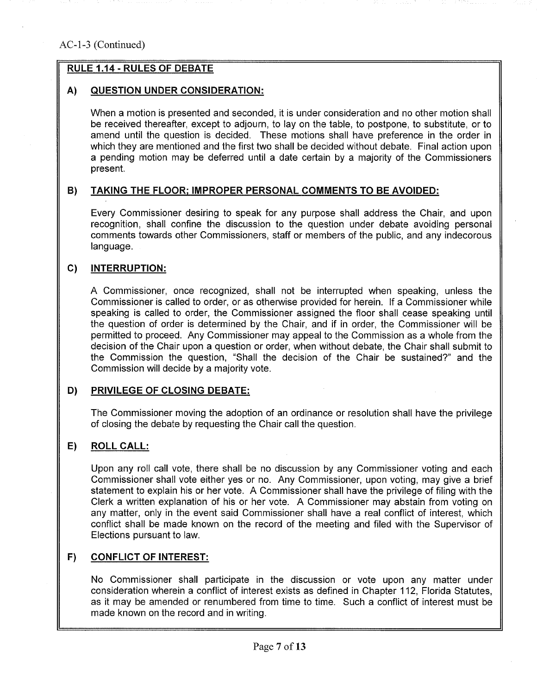## RULE 1.14- RULES OF DEBATE

## A) QUESTION UNDER CONSIDERATION:

When a motion is presented and seconded, it is under consideration and no other motion shall be received thereafter, except to adjourn, to lay on the table, to postpone, to substitute, or to amend until the question is decided. These motions shall have preference in the order in which they are mentioned and the first two shall be decided without debate. Final action upon a pending motion may be deferred until a date certain by a majority of the Commissioners present.

### B) TAKING THE FLOOR; IMPROPER PERSONAL COMMENTS TO BE AVOIDED:

Every Commissioner desiring to speak for any purpose shall address the Chair, and upon recognition, shall confine the discussion to the question under debate avoiding personal comments towards other Commissioners, staff or members of the public, and any indecorous language.

### C) INTERRUPTION:

A Commissioner, once recognized, shall not be interrupted when speaking, unless the Commissioner is called to order, or as otherwise provided for herein. If a Commissioner while speaking is called to order, the Commissioner assigned the floor shall cease speaking until the question of order is determined by the Chair, and if in order, the Commissioner will be permitted to proceed. Any Commissioner may appeal to the Commission as a whole from the decision of the Chair upon a question or order, when without debate, the Chair shall submit to the Commission the question, "Shall the decision of the Chair be sustained?" and the Commission will decide by a majority vote.

## D) PRIVILEGE OF CLOSING DEBATE:

The Commissioner moving the adoption of an ordinance or resolution shall have the privilege of closing the debate by requesting the Chair call the question.

## E) ROLL CALL:

Upon any roll call vote, there shall be no discussion by any Commissioner voting and each Commissioner shall vote either yes or no. Any Commissioner, upon voting, may give a brief statement to explain his or her vote. A Commissioner shall have the privilege of filing with the Clerk a written explanation of his or her vote. A Commissioner may abstain from voting on any matter, only in the event said Commissioner shall have a real conflict of interest, which conflict shall be made known on the record of the meeting and filed with the Supervisor of Elections pursuant to law.

### F) CONFLICT OF INTEREST:

No Commissioner shall participate in the discussion or vote upon any matter under consideration wherein a conflict of interest exists as defined in Chapter 112, Florida Statutes, as it may be amended or renumbered from time to time. Such a conflict of interest must be made known on the record and in writing.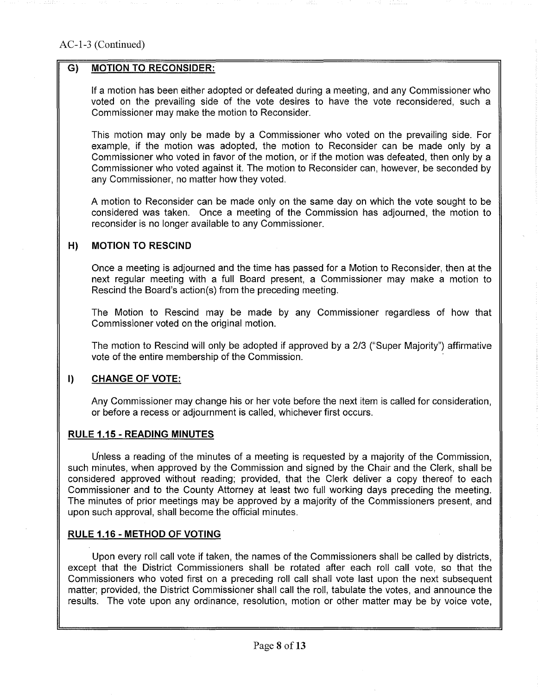### G) MOTION TO RECONSIDER:

If a motion has been either adopted or defeated during a meeting, and any Commissioner who voted on the prevailing side of the vote desires to have the vote reconsidered, such a Commissioner may make the motion to Reconsider.

This motion may only be made by a Commissioner who voted on the prevailing side. For example, if the motion was adopted, the motion to Reconsider can be made only by a Commissioner who voted in favor of the motion, or if the motion was defeated, then only by a Commissioner who voted against it. The motion to Reconsider can, however, be seconded by any Commissioner, no matter how they voted.

A motion to Reconsider can be made only on the same day on which the vote sought to be considered was taken. Once a meeting of the Commission has adjourned, the motion to reconsider is no longer available to any Commissioner.

### H) MOTION TO RESCIND

Once a meeting is adjourned and the time has passed for a Motion to Reconsider, then at the next regular meeting with a full Board present, a Commissioner may make a motion to Rescind the Board's action(s) from the preceding meeting.

The Motion to Rescind may be made by any Commissioner regardless of how that Commissioner voted on the original motion.

The motion to Rescind will only be adopted if approved by a 2/3 ("Super Majority") affirmative vote of the entire membership of the Commission.

### **I} CHANGE OF VOTE:**

Any Commissioner may change his or her vote before the next item is called for consideration, or before a recess or adjournment is called, whichever first occurs.

### **RULE 1.15- READING MINUTES**

Unless a reading of the minutes of a meeting is requested by a majority of the Commission, such minutes, when approved by the Commission and signed by the Chair and the Clerk, shall be considered approved without reading; provided, that the Clerk deliver a copy thereof to each Commissioner and to the County Attorney at least two full working days preceding the meeting. The minutes of prior meetings may be approved by a majority of the Commissioners present, and upon such approval, shall become the official minutes.

### **RULE 1.16- METHOD OF VOTING**

Upon every roll call vote if taken, the names of the Commissioners shall be called by districts, except that the District Commissioners shall be rotated after each roll call vote, so that the Commissioners who voted first on a preceding roll call shall vote last upon the next subsequent matter; provided, the District Commissioner shall call the roll, tabulate the votes, and announce the results. The vote upon any ordinance, resolution, motion or other matter may be by voice vote,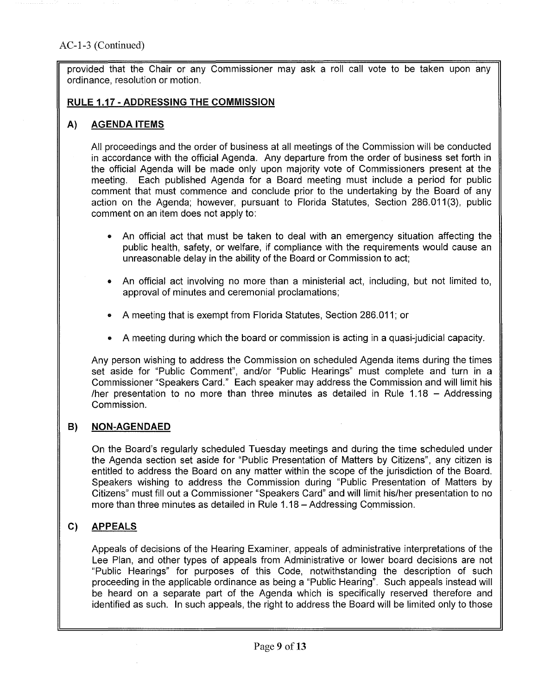provided that the Chair or any Commissioner may ask a roll call vote to be taken upon any ordinance, resolution or motion.

#### RULE 1.17 -ADDRESSING THE COMMISSION

### A) AGENDA ITEMS

All proceedings and the order of business at all meetings of the Commission will be conducted in accordance with the official Agenda. Any departure from the order of business set forth in the official Agenda will be made only upon majority vote of Commissioners present at the meeting. Each published Agenda for a Board meeting must include a period for public comment that must commence and conclude prior to the undertaking by the Board of any action on the Agenda; however, pursuant to Florida Statutes, Section 286.011(3), public comment on an item does not apply to:

- An official act that must be taken to deal with an emergency situation affecting the public health, safety, or welfare, if compliance with the requirements would cause an unreasonable delay in the ability of the Board or Commission to act;
- An official act involving no more than a ministerial act, including, but not limited to, approval of minutes and ceremonial proclamations;
- A meeting that is exempt from Florida Statutes, Section 286.011; or
- A meeting during which the board or commission is acting in a quasi-judicial capacity.

Any person wishing to address the Commission on scheduled Agenda items during the times set aside for "Public Comment", and/or "Public Hearings" must complete and turn in a Commissioner "Speakers Card." Each speaker may address the Commission and will limit his /her presentation to no more than three minutes as detailed in Rule  $1.18 -$  Addressing Commission.

### **B) NON-AGENDAED**

On the Board's regularly scheduled Tuesday meetings and during the time scheduled under the Agenda section set aside for "Public Presentation of Matters by Citizens", any citizen is entitled to address the Board on any matter within the scope of the jurisdiction of the Board. Speakers wishing to address the Commission during "Public Presentation of Matters by Citizens" must fill out a Commissioner "Speakers Card" and will limit his/her presentation to no more than three minutes as detailed in Rule 1.18- Addressing Commission.

## C) **APPEALS**

Appeals of decisions of the Hearing Examiner, appeals of administrative interpretations of the Lee Plan, and other types of appeals from Administrative or lower board decisions are not "Public Hearings" for purposes of this Code, notwithstanding the description of such proceeding in the applicable ordinance as being a "Public Hearing". Such appeals instead will be heard on a separate part of the Agenda which is specifically reserved therefore and identified as such. In such appeals, the right to address the Board will be limited only to those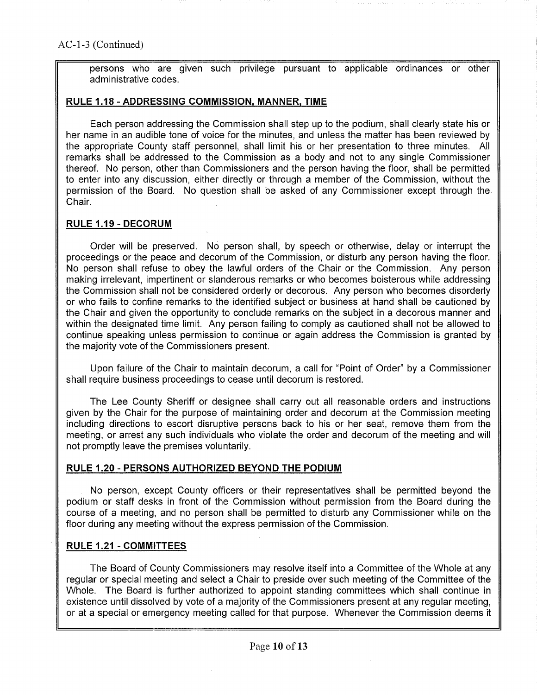persons who are given such privilege pursuant to applicable ordinances or other administrative codes.

#### RUlE 1.18- ADDRESSING COMMISSION, MANNER, TIME

Each person addressing the Commission shall step up to the podium, shall clearly state his or her name in an audible tone of voice for the minutes, and unless the matter has been reviewed by the appropriate County staff personnel, shall limit his or her presentation to three minutes. All remarks shall be addressed to the Commission as a body and not to any single Commissioner thereof. No person, other than Commissioners and the person having the floor, shall be permitted to enter into any discussion, either directly or through a member of the Commission, without the permission of the Board. No question shall be asked of any Commissioner except through the Chair.

#### **RUlE 1.19- DECORUM**

Order will be preserved. No person shall, by speech or otherwise, delay or interrupt the proceedings or the peace and decorum of the Commission, or disturb any person having the floor. No person shall refuse to obey the lawful orders of the Chair or the Commission. Any person making irrelevant, impertinent or slanderous remarks or who becomes boisterous while addressing the Commission shall not be considered orderly or decorous. Any person who becomes disorderly or who fails to confine remarks to the identified subject or business at hand shall be cautioned by the Chair and given the opportunity to conclude remarks on the subject in a decorous manner and within the designated time limit. Any person failing to comply as cautioned shall not be allowed to continue speaking unless permission to continue or again address the Commission is granted by the majority vote of the Commissioners present.

Upon failure of the Chair to maintain decorum, a call for "Point of Order" by a Commissioner shall require business proceedings to cease until decorum is restored.

The Lee County Sheriff or designee shall carry out all reasonable orders and instructions given by the Chair for the purpose of maintaining order and decorum at the Commission meeting including directions to escort disruptive persons back to his or her seat, remove them from the meeting, or arrest any such individuals who violate the order and decorum of the meeting and will not promptly leave the premises voluntarily.

#### **RUlE 1.20 - PERSONS AUTHORIZED BEYOND THE PODIUM**

No person, except County officers or their representatives shall be permitted beyond the podium or staff desks in front of the Commission without permission from the Board during the course of a meeting, and no person shall be permitted to disturb any Commissioner while on the floor during any meeting without the express permission of the Commission.

### **RUlE 1.21 - COMMITTEES**

The Board of County Commissioners may resolve itself into a Committee of the Whole at any regular or special meeting and select a Chair to preside over such meeting of the Committee of the Whole. The Board is further authorized to appoint standing committees which shall continue in existence until dissolved by vote of a majority of the Commissioners present at any regular meeting, or at a special or emergency meeting called for that purpose. Whenever the Commission deems it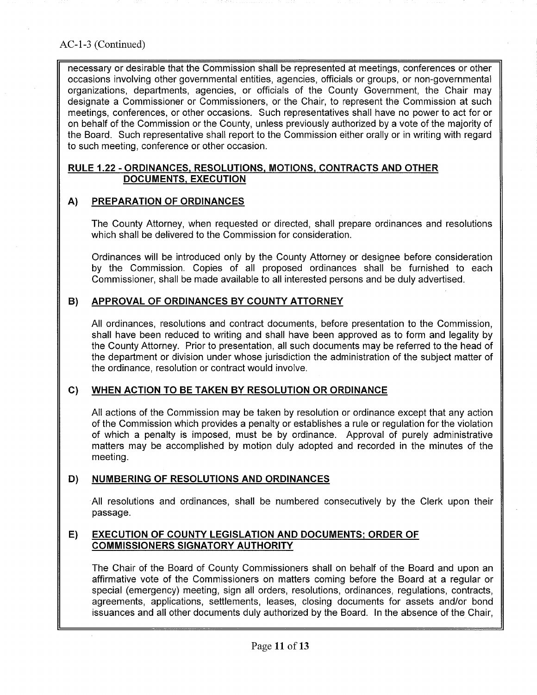## AC-1-3 (Continued)

necessary or desirable that the Commission shall be represented at meetings, conferences or other occasions involving other governmental entities, agencies, officials or groups, or non-governmental organizations, departments, agencies, or officials of the County Government, the Chair may designate a Commissioner or Commissioners, or the Chair, to represent the Commission at such meetings, conferences, or other occasions. Such representatives shall have no power to act for or on behalf of the Commission or the County, unless previously authorized by a vote of the majority of the Board. Such representative shall report to the Commission either orally or in writing with regard to such meeting, conference or other occasion.

#### RULE 1.22 -ORDINANCES, RESOLUTIONS, MOTIONS, CONTRACTS AND OTHER DOCUMENTS, EXECUTION

### A) PREPARATION OF ORDINANCES

The County Attorney, when requested or directed, shall prepare ordinances and resolutions which shall be delivered to the Commission for consideration.

Ordinances will be introduced only by the County Attorney or designee before consideration by the Commission. Copies of all proposed ordinances shall be furnished to each Commissioner, shall be made available to all interested persons and be duly advertised.

### B) APPROVAL OF ORDINANCES BY COUNTY ATTORNEY

All ordinances, resolutions and contract documents, before presentation to the Commission, shall have been reduced to writing and shall have been approved as to form and legality by the County Attorney. Prior to presentation, all such documents may be referred to the head of the department or division under whose jurisdiction the administration of the subject matter of the ordinance, resolution or contract would involve.

### C) WHEN ACTION TO BE TAKEN BY RESOLUTION OR ORDINANCE

All actions of the Commission may be taken by resolution or ordinance except that any action of the Commission which provides a penalty or establishes a rule or regulation for the violation of which a penalty is imposed, must be by ordinance. Approval of purely administrative matters may be accomplished by motion duly adopted and recorded in the minutes of the meeting.

### D) NUMBERING OF RESOLUTIONS AND ORDINANCES

All resolutions and ordinances, shall be numbered consecutively by the Clerk upon their passage.

### E) EXECUTION OF COUNTY LEGISLATION AND DOCUMENTS; ORDER OF COMMISSIONERS SIGNATORY AUTHORITY

The Chair of the Board of County Commissioners shall on behalf of the Board and upon an affirmative vote of the Commissioners on matters coming before the Board at a regular or special (emergency) meeting, sign all orders, resolutions, ordinances, regulations, contracts, agreements, applications, settlements, leases, closing documents for assets and/or bond issuances and all other documents duly authorized by the Board. In the absence of the Chair,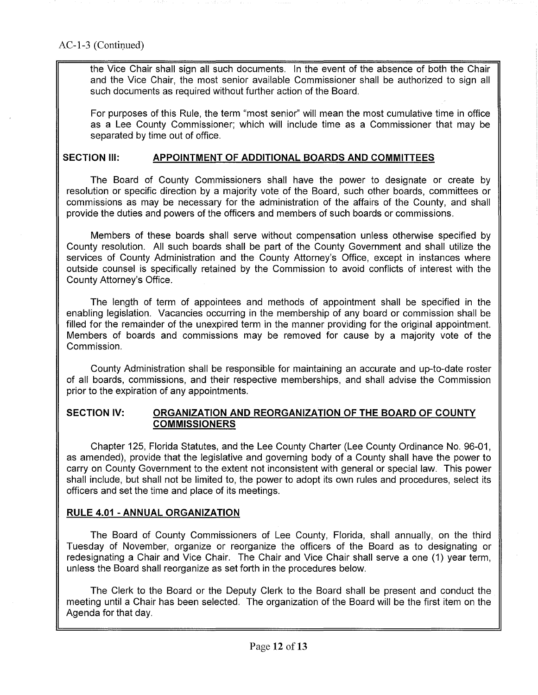the Vice Chair shall sign all such documents. In the event of the absence of both the Chair and the Vice Chair, the most senior available Commissioner shall be authorized to sign all such documents as required without further action of the Board.

For purposes of this Rule, the term "most senior" will mean the most cumulative time in office as a Lee County Commissioner; which will include time as a Commissioner that may be separated by time out of office.

### SECTION Ill: **APPOINTMENT OF ADDITIONAL BOARDS AND COMMITTEES**

The Board of County Commissioners shall have the power to designate or create by resolution or specific direction by a majority vote of the Board, such other boards, committees or commissions as may be necessary for the administration of the affairs of the County, and shall provide the duties and powers of the officers and members of such boards or commissions.

Members of these boards shall serve without compensation unless otherwise specified by County resolution. All such boards shall be part of the County Government and shall utilize the services of County Administration and the County Attorney's Office, except in instances where outside counsel is specifically retained by the Commission to avoid conflicts of interest with the County Attorney's Office.

The length of term of appointees and methods of appointment shall be specified in the enabling legislation. Vacancies occurring in the membership of any board or commission shall be filled for the remainder of the unexpired term in the manner providing for the original appointment. Members of boards and commissions may be removed for cause by a majority vote of the Commission.

County Administration shall be responsible for maintaining an accurate and up-to-date roster of all boards, commissions, and their respective memberships, and shall advise the Commission prior to the expiration of any appointments.

### **SECTION IV: ORGANIZATION AND REORGANIZATION OF THE BOARD OF COUNTY COMMISSIONERS**

Chapter 125, Florida Statutes, and the Lee County Charter (Lee County Ordinance No. 96-01, as amended), provide that the legislative and governing body of a County shall have the power to carry on County Government to the extent not inconsistent with general or special law. This power shall include, but shall not be limited to, the power to adopt its own rules and procedures, select its officers and set the time and place of its meetings.

## **RULE 4.01 -ANNUAL ORGANIZATION**

The Board of County Commissioners of Lee County, Florida, shall annually, on the third Tuesday of November, organize or reorganize the officers of the Board as to designating or redesignating a Chair and Vice Chair. The Chair and Vice Chair shall serve a one (1) year term, unless the Board shall reorganize as set forth in the procedures below.

The Clerk to the Board or the Deputy Clerk to the Board shall be present and conduct the meeting until a Chair has been selected. The organization of the Board will be the first item on the Agenda for that day.